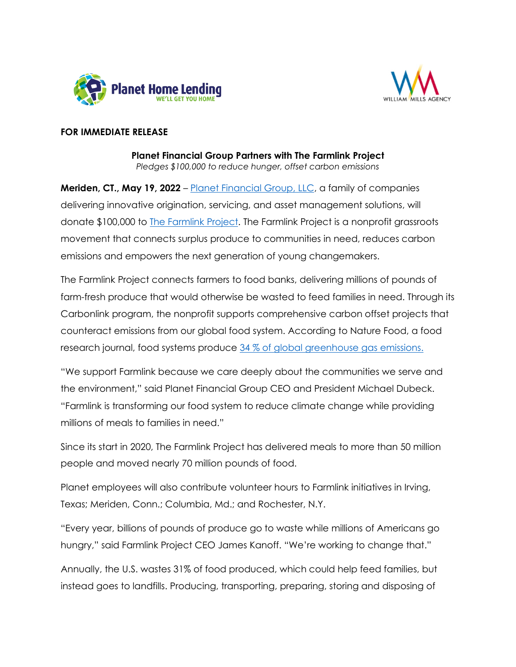



### **FOR IMMEDIATE RELEASE**

**Planet Financial Group Partners with The Farmlink Project** *Pledges \$100,000 to reduce hunger, offset carbon emissions*

**Meriden, CT., May 19, 2022** – [Planet Financial Group, LLC,](https://planethomelending.com/planet-with-a-purpose/?utm_source=press-release&utm_medium=web&utm_campaign=Farmlink) a family of companies delivering innovative origination, servicing, and asset management solutions, will donate \$100,000 to [The Farmlink Project.](https://thefarmlinkproject.org/) The Farmlink Project is a nonprofit grassroots movement that connects surplus produce to communities in need, reduces carbon emissions and empowers the next generation of young changemakers.

The Farmlink Project connects farmers to food banks, delivering millions of pounds of farm-fresh produce that would otherwise be wasted to feed families in need. Through its Carbonlink program, the nonprofit supports comprehensive carbon offset projects that counteract emissions from our global food system. According to Nature Food, a food research journal, food systems produce [34 % of global greenhouse gas emissions.](https://protect-us.mimecast.com/s/XAJWCgJxo7cA5rEESNumXR?domain=nam10.safelinks.protection.outlook.com)

"We support Farmlink because we care deeply about the communities we serve and the environment," said Planet Financial Group CEO and President Michael Dubeck. "Farmlink is transforming our food system to reduce climate change while providing millions of meals to families in need."

Since its start in 2020, The Farmlink Project has delivered meals to more than 50 million people and moved nearly 70 million pounds of food.

Planet employees will also contribute volunteer hours to Farmlink initiatives in Irving, Texas; Meriden, Conn.; Columbia, Md.; and Rochester, N.Y.

"Every year, billions of pounds of produce go to waste while millions of Americans go hungry," said Farmlink Project CEO James Kanoff. "We're working to change that."

Annually, the U.S. wastes 31% of food produced, which could help feed families, but instead goes to landfills. Producing, transporting, preparing, storing and disposing of